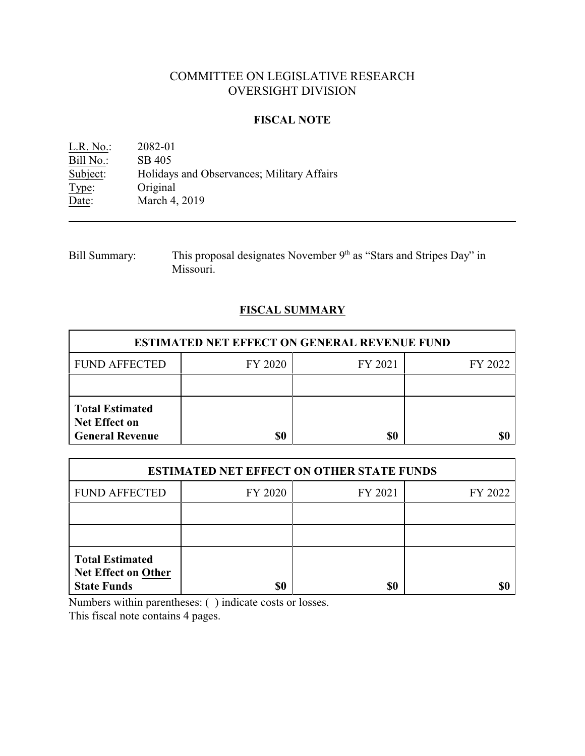# COMMITTEE ON LEGISLATIVE RESEARCH OVERSIGHT DIVISION

## **FISCAL NOTE**

L.R. No.: 2082-01 Bill No.: SB 405<br>Subject: Holiday Holidays and Observances; Military Affairs Type: Original Date: March 4, 2019

Bill Summary: This proposal designates November  $9<sup>th</sup>$  as "Stars and Stripes Day" in Missouri.

## **FISCAL SUMMARY**

| <b>ESTIMATED NET EFFECT ON GENERAL REVENUE FUND</b>                      |         |         |         |  |
|--------------------------------------------------------------------------|---------|---------|---------|--|
| <b>FUND AFFECTED</b>                                                     | FY 2020 | FY 2021 | FY 2022 |  |
|                                                                          |         |         |         |  |
| <b>Total Estimated</b><br><b>Net Effect on</b><br><b>General Revenue</b> | \$0     | \$0     |         |  |

| <b>ESTIMATED NET EFFECT ON OTHER STATE FUNDS</b>                           |         |         |         |  |
|----------------------------------------------------------------------------|---------|---------|---------|--|
| <b>FUND AFFECTED</b>                                                       | FY 2020 | FY 2021 | FY 2022 |  |
|                                                                            |         |         |         |  |
|                                                                            |         |         |         |  |
| <b>Total Estimated</b><br><b>Net Effect on Other</b><br><b>State Funds</b> | \$0     | \$0     |         |  |

Numbers within parentheses: ( ) indicate costs or losses.

This fiscal note contains 4 pages.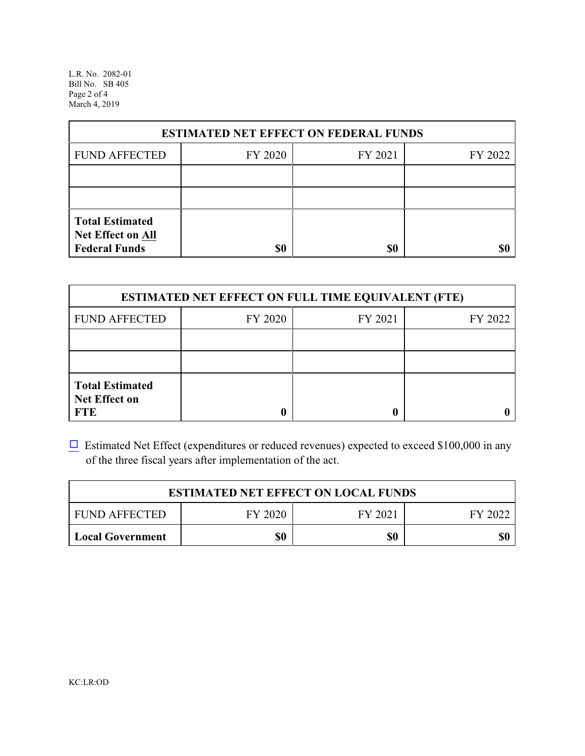L.R. No. 2082-01 Bill No. SB 405 Page 2 of 4 March 4, 2019

| <b>ESTIMATED NET EFFECT ON FEDERAL FUNDS</b>                        |         |         |         |  |
|---------------------------------------------------------------------|---------|---------|---------|--|
| <b>FUND AFFECTED</b>                                                | FY 2020 | FY 2021 | FY 2022 |  |
|                                                                     |         |         |         |  |
|                                                                     |         |         |         |  |
| <b>Total Estimated</b><br>Net Effect on All<br><b>Federal Funds</b> | \$0     | \$0     |         |  |

| <b>ESTIMATED NET EFFECT ON FULL TIME EQUIVALENT (FTE)</b>    |         |         |         |  |
|--------------------------------------------------------------|---------|---------|---------|--|
| <b>FUND AFFECTED</b>                                         | FY 2020 | FY 2021 | FY 2022 |  |
|                                                              |         |         |         |  |
|                                                              |         |         |         |  |
| <b>Total Estimated</b><br><b>Net Effect on</b><br><b>FTE</b> |         |         |         |  |

 $\Box$  Estimated Net Effect (expenditures or reduced revenues) expected to exceed \$100,000 in any of the three fiscal years after implementation of the act.

| <b>ESTIMATED NET EFFECT ON LOCAL FUNDS</b> |         |         |         |
|--------------------------------------------|---------|---------|---------|
| <b>FUND AFFECTED</b>                       | FY 2020 | FY 2021 | FY 2022 |
| <b>Local Government</b>                    | \$0     | \$0     | \$0     |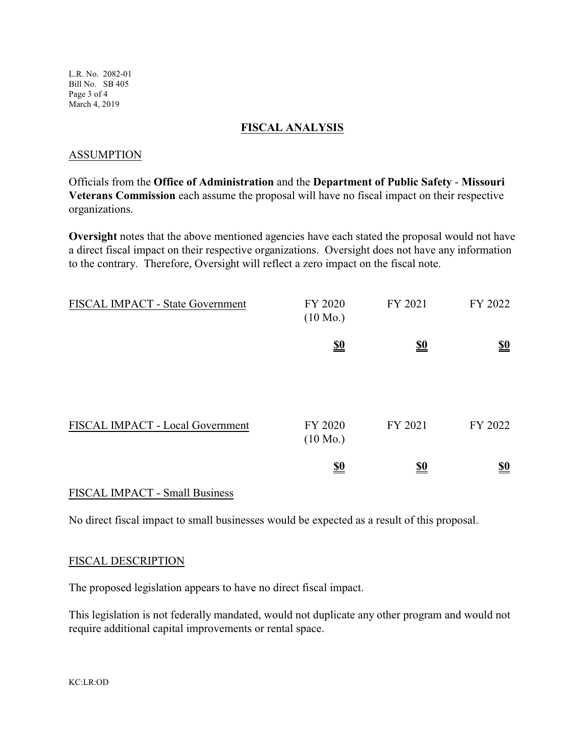L.R. No. 2082-01 Bill No. SB 405 Page 3 of 4 March 4, 2019

### **FISCAL ANALYSIS**

#### ASSUMPTION

Officials from the **Office of Administration** and the **Department of Public Safety** - **Missouri Veterans Commission** each assume the proposal will have no fiscal impact on their respective organizations.

**Oversight** notes that the above mentioned agencies have each stated the proposal would not have a direct fiscal impact on their respective organizations. Oversight does not have any information to the contrary. Therefore, Oversight will reflect a zero impact on the fiscal note.

| FISCAL IMPACT - State Government | FY 2020<br>$(10 \text{ Mo.})$ | FY 2021                       | FY 2022                       |
|----------------------------------|-------------------------------|-------------------------------|-------------------------------|
|                                  | $\underline{\underline{\$0}}$ | $\underline{\underline{\$0}}$ | $\underline{\underline{\$0}}$ |
|                                  |                               |                               |                               |
| FISCAL IMPACT - Local Government | FY 2020<br>$(10 \text{ Mo.})$ | FY 2021                       | FY 2022                       |
|                                  | $\underline{\underline{\$0}}$ | <u>\$0</u>                    | $\underline{\underline{\$0}}$ |

## FISCAL IMPACT - Small Business

No direct fiscal impact to small businesses would be expected as a result of this proposal.

#### FISCAL DESCRIPTION

The proposed legislation appears to have no direct fiscal impact.

This legislation is not federally mandated, would not duplicate any other program and would not require additional capital improvements or rental space.